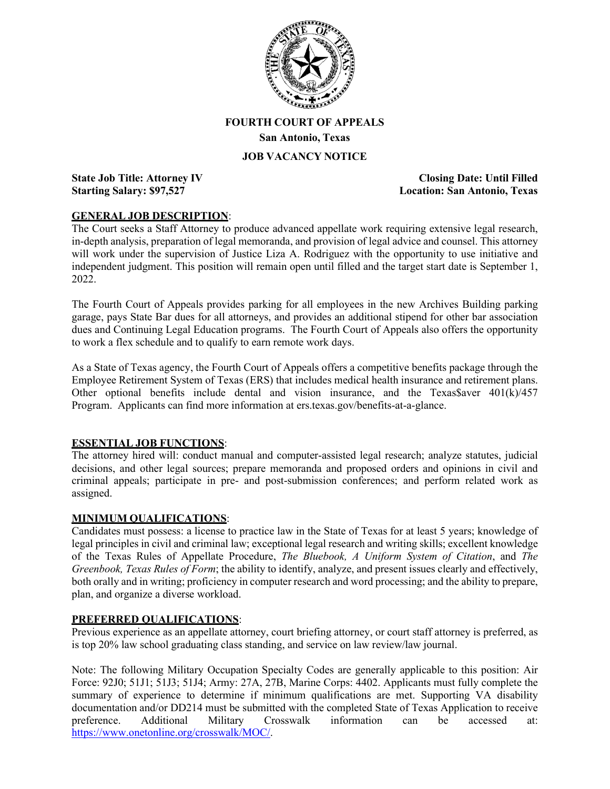

# **FOURTH COURT OF APPEALS San Antonio, Texas**

### **JOB VACANCY NOTICE**

**State Job Title: Attorney IV Closing Date: Until Filled Starting Salary: \$97,527 Location: San Antonio, Texas**

#### **GENERAL JOB DESCRIPTION**:

The Court seeks a Staff Attorney to produce advanced appellate work requiring extensive legal research, in-depth analysis, preparation of legal memoranda, and provision of legal advice and counsel. This attorney will work under the supervision of Justice Liza A. Rodriguez with the opportunity to use initiative and independent judgment. This position will remain open until filled and the target start date is September 1, 2022.

The Fourth Court of Appeals provides parking for all employees in the new Archives Building parking garage, pays State Bar dues for all attorneys, and provides an additional stipend for other bar association dues and Continuing Legal Education programs. The Fourth Court of Appeals also offers the opportunity to work a flex schedule and to qualify to earn remote work days.

As a State of Texas agency, the Fourth Court of Appeals offers a competitive benefits package through the Employee Retirement System of Texas (ERS) that includes medical health insurance and retirement plans. Other optional benefits include dental and vision insurance, and the Texas Saver  $401(k)/457$ Program. Applicants can find more information at ers.texas.gov/benefits-at-a-glance.

#### **ESSENTIAL JOB FUNCTIONS**:

The attorney hired will: conduct manual and computer-assisted legal research; analyze statutes, judicial decisions, and other legal sources; prepare memoranda and proposed orders and opinions in civil and criminal appeals; participate in pre- and post-submission conferences; and perform related work as assigned.

### **MINIMUM QUALIFICATIONS**:

Candidates must possess: a license to practice law in the State of Texas for at least 5 years; knowledge of legal principles in civil and criminal law; exceptional legal research and writing skills; excellent knowledge of the Texas Rules of Appellate Procedure, *The Bluebook, A Uniform System of Citation*, and *The Greenbook, Texas Rules of Form*; the ability to identify, analyze, and present issues clearly and effectively, both orally and in writing; proficiency in computer research and word processing; and the ability to prepare, plan, and organize a diverse workload.

#### **PREFERRED QUALIFICATIONS**:

Previous experience as an appellate attorney, court briefing attorney, or court staff attorney is preferred, as is top 20% law school graduating class standing, and service on law review/law journal.

Note: The following Military Occupation Specialty Codes are generally applicable to this position: Air Force: 92J0; 51J1; 51J3; 51J4; Army: 27A, 27B, Marine Corps: 4402. Applicants must fully complete the summary of experience to determine if minimum qualifications are met. Supporting VA disability documentation and/or DD214 must be submitted with the completed State of Texas Application to receive preference. Additional Military Crosswalk information can be accessed at: [https://www.onetonline.org/crosswalk/MOC/.](https://www.onetonline.org/crosswalk/MOC/)